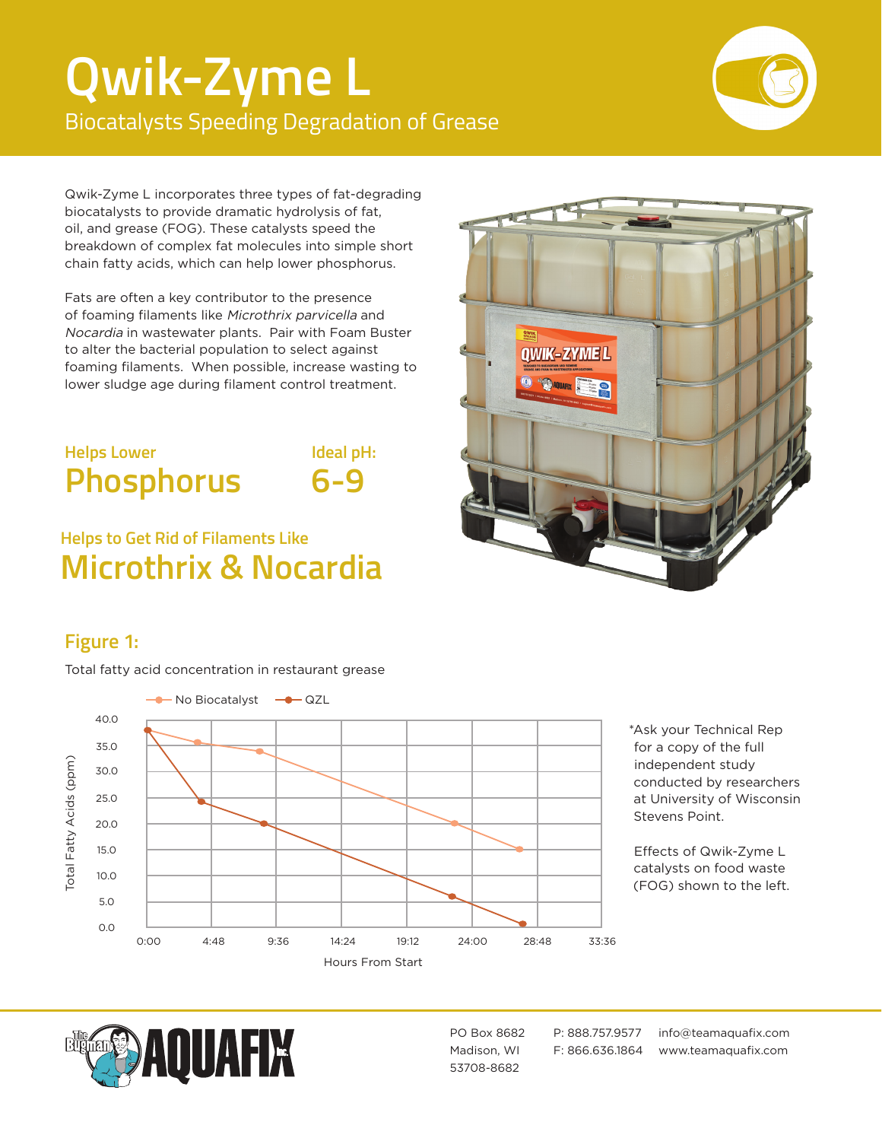# **Qwik-Zyme L** Biocatalysts Speeding Degradation of Grease



Qwik-Zyme L incorporates three types of fat-degrading biocatalysts to provide dramatic hydrolysis of fat, oil, and grease (FOG). These catalysts speed the breakdown of complex fat molecules into simple short chain fatty acids, which can help lower phosphorus.

Fats are often a key contributor to the presence of foaming filaments like Microthrix parvicella and Nocardia in wastewater plants. Pair with Foam Buster to alter the bacterial population to select against foaming filaments. When possible, increase wasting to lower sludge age during filament control treatment.

# **Helps Lower Phosphorus**

**Ideal pH: 6-9**

# **Helps to Get Rid of Filaments Like Microthrix & Nocardia**



## **Figure 1:**

Total fatty acid concentration in restaurant grease



\*Ask your Technical Rep for a copy of the full independent study conducted by researchers at University of Wisconsin Stevens Point.

Effects of Qwik-Zyme L catalysts on food waste (FOG) shown to the left.



53708-8682

PO Box 8682 P: 888.757.9577 info@teamaquafix.com Madison, WI F: 866.636.1864 www.teamaquafix.com